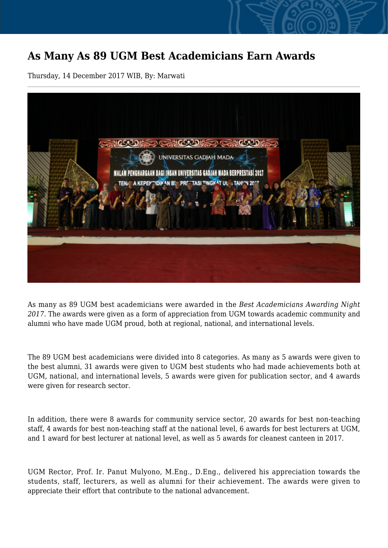## **As Many As 89 UGM Best Academicians Earn Awards**

Thursday, 14 December 2017 WIB, By: Marwati



As many as 89 UGM best academicians were awarded in the *Best Academicians Awarding Night 2017*. The awards were given as a form of appreciation from UGM towards academic community and alumni who have made UGM proud, both at regional, national, and international levels.

The 89 UGM best academicians were divided into 8 categories. As many as 5 awards were given to the best alumni, 31 awards were given to UGM best students who had made achievements both at UGM, national, and international levels, 5 awards were given for publication sector, and 4 awards were given for research sector.

In addition, there were 8 awards for community service sector, 20 awards for best non-teaching staff, 4 awards for best non-teaching staff at the national level, 6 awards for best lecturers at UGM, and 1 award for best lecturer at national level, as well as 5 awards for cleanest canteen in 2017.

UGM Rector, Prof. Ir. Panut Mulyono, M.Eng., D.Eng., delivered his appreciation towards the students, staff, lecturers, as well as alumni for their achievement. The awards were given to appreciate their effort that contribute to the national advancement.